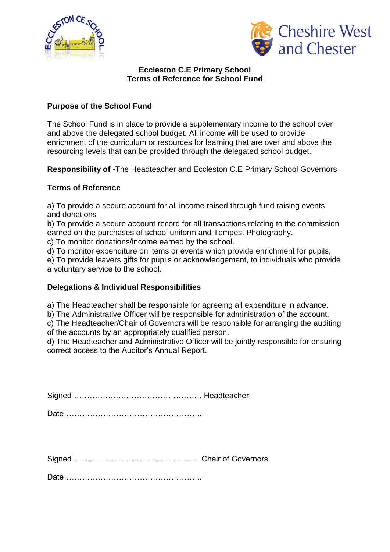



## **Eccleston C.E Primary School Terms of Reference for School Fund**

## **Purpose of the School Fund**

The School Fund is in place to provide a supplementary income to the school over and above the delegated school budget. All income will be used to provide enrichment of the curriculum or resources for learning that are over and above the resourcing levels that can be provided through the delegated school budget.

**Responsibility of -**The Headteacher and Eccleston C.E Primary School Governors

## **Terms of Reference**

a) To provide a secure account for all income raised through fund raising events and donations

b) To provide a secure account record for all transactions relating to the commission earned on the purchases of school uniform and Tempest Photography.

c) To monitor donations/income earned by the school.

d) To monitor expenditure on items or events which provide enrichment for pupils,

e) To provide leavers gifts for pupils or acknowledgement, to individuals who provide a voluntary service to the school.

## **Delegations & Individual Responsibilities**

a) The Headteacher shall be responsible for agreeing all expenditure in advance.

b) The Administrative Officer will be responsible for administration of the account.

c) The Headteacher/Chair of Governors will be responsible for arranging the auditing of the accounts by an appropriately qualified person.

d) The Headteacher and Administrative Officer will be jointly responsible for ensuring correct access to the Auditor's Annual Report.

Signed …………………………………………. Headteacher

Date……………………………………………..

Signed ………………………………………… Chair of Governors

Date……………………………………………..